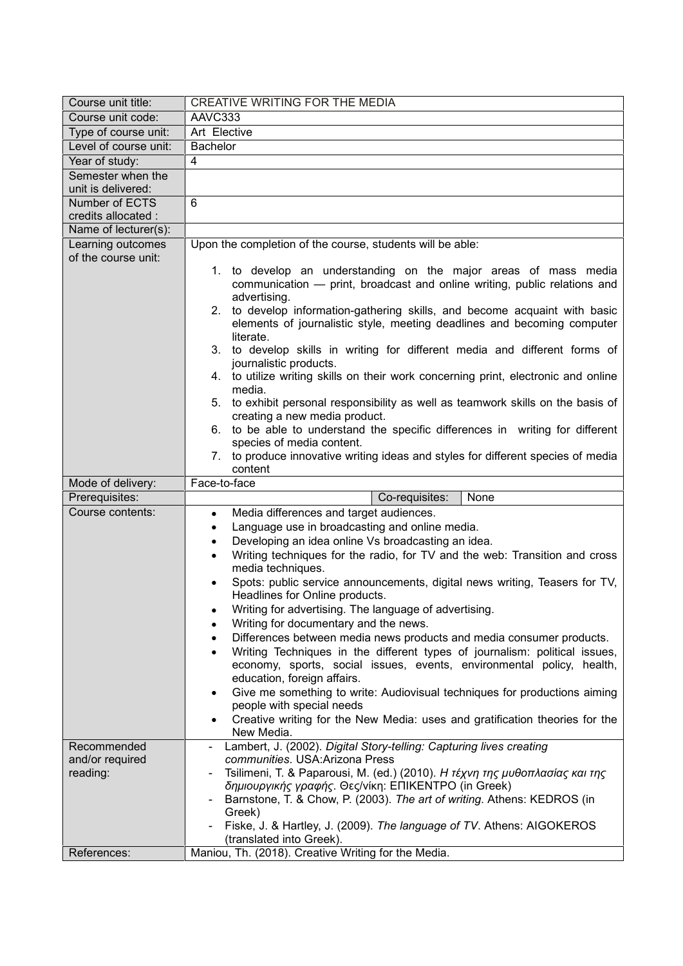| Course unit title:                       | CREATIVE WRITING FOR THE MEDIA                                                                                                                                                                                                                                                                                                                                                                                                                                                                                                                                                                                                                                                                                                                         |
|------------------------------------------|--------------------------------------------------------------------------------------------------------------------------------------------------------------------------------------------------------------------------------------------------------------------------------------------------------------------------------------------------------------------------------------------------------------------------------------------------------------------------------------------------------------------------------------------------------------------------------------------------------------------------------------------------------------------------------------------------------------------------------------------------------|
| Course unit code:                        | AAVC333                                                                                                                                                                                                                                                                                                                                                                                                                                                                                                                                                                                                                                                                                                                                                |
| Type of course unit:                     | Art Elective                                                                                                                                                                                                                                                                                                                                                                                                                                                                                                                                                                                                                                                                                                                                           |
| Level of course unit:                    | <b>Bachelor</b>                                                                                                                                                                                                                                                                                                                                                                                                                                                                                                                                                                                                                                                                                                                                        |
| Year of study:                           | $\overline{\mathbf{A}}$                                                                                                                                                                                                                                                                                                                                                                                                                                                                                                                                                                                                                                                                                                                                |
| Semester when the                        |                                                                                                                                                                                                                                                                                                                                                                                                                                                                                                                                                                                                                                                                                                                                                        |
| unit is delivered:                       |                                                                                                                                                                                                                                                                                                                                                                                                                                                                                                                                                                                                                                                                                                                                                        |
| Number of ECTS                           | 6                                                                                                                                                                                                                                                                                                                                                                                                                                                                                                                                                                                                                                                                                                                                                      |
| credits allocated :                      |                                                                                                                                                                                                                                                                                                                                                                                                                                                                                                                                                                                                                                                                                                                                                        |
| Name of lecturer(s):                     |                                                                                                                                                                                                                                                                                                                                                                                                                                                                                                                                                                                                                                                                                                                                                        |
| Learning outcomes<br>of the course unit: | Upon the completion of the course, students will be able:                                                                                                                                                                                                                                                                                                                                                                                                                                                                                                                                                                                                                                                                                              |
|                                          | 1. to develop an understanding on the major areas of mass media<br>communication - print, broadcast and online writing, public relations and<br>advertising.<br>2.<br>to develop information-gathering skills, and become acquaint with basic<br>elements of journalistic style, meeting deadlines and becoming computer<br>literate.<br>3. to develop skills in writing for different media and different forms of<br>journalistic products.<br>4. to utilize writing skills on their work concerning print, electronic and online<br>media.<br>to exhibit personal responsibility as well as teamwork skills on the basis of<br>5.<br>creating a new media product.<br>6. to be able to understand the specific differences in writing for different |
|                                          | species of media content.                                                                                                                                                                                                                                                                                                                                                                                                                                                                                                                                                                                                                                                                                                                              |
|                                          | 7. to produce innovative writing ideas and styles for different species of media                                                                                                                                                                                                                                                                                                                                                                                                                                                                                                                                                                                                                                                                       |
|                                          | content                                                                                                                                                                                                                                                                                                                                                                                                                                                                                                                                                                                                                                                                                                                                                |
| Mode of delivery:                        | Face-to-face                                                                                                                                                                                                                                                                                                                                                                                                                                                                                                                                                                                                                                                                                                                                           |
| Prerequisites:                           | None<br>Co-requisites:                                                                                                                                                                                                                                                                                                                                                                                                                                                                                                                                                                                                                                                                                                                                 |
| Course contents:                         | Media differences and target audiences.<br>$\bullet$                                                                                                                                                                                                                                                                                                                                                                                                                                                                                                                                                                                                                                                                                                   |
|                                          | Language use in broadcasting and online media.<br>$\bullet$                                                                                                                                                                                                                                                                                                                                                                                                                                                                                                                                                                                                                                                                                            |
|                                          | Developing an idea online Vs broadcasting an idea.<br>$\bullet$<br>Writing techniques for the radio, for TV and the web: Transition and cross<br>$\bullet$                                                                                                                                                                                                                                                                                                                                                                                                                                                                                                                                                                                             |
|                                          | media techniques.                                                                                                                                                                                                                                                                                                                                                                                                                                                                                                                                                                                                                                                                                                                                      |
|                                          | Spots: public service announcements, digital news writing, Teasers for TV,                                                                                                                                                                                                                                                                                                                                                                                                                                                                                                                                                                                                                                                                             |
|                                          | Headlines for Online products.                                                                                                                                                                                                                                                                                                                                                                                                                                                                                                                                                                                                                                                                                                                         |
|                                          | Writing for advertising. The language of advertising.                                                                                                                                                                                                                                                                                                                                                                                                                                                                                                                                                                                                                                                                                                  |
|                                          | Writing for documentary and the news.                                                                                                                                                                                                                                                                                                                                                                                                                                                                                                                                                                                                                                                                                                                  |
|                                          | Differences between media news products and media consumer products.                                                                                                                                                                                                                                                                                                                                                                                                                                                                                                                                                                                                                                                                                   |
|                                          | Writing Techniques in the different types of journalism: political issues,                                                                                                                                                                                                                                                                                                                                                                                                                                                                                                                                                                                                                                                                             |
|                                          | economy, sports, social issues, events, environmental policy, health,<br>education, foreign affairs.                                                                                                                                                                                                                                                                                                                                                                                                                                                                                                                                                                                                                                                   |
|                                          | Give me something to write: Audiovisual techniques for productions aiming                                                                                                                                                                                                                                                                                                                                                                                                                                                                                                                                                                                                                                                                              |
|                                          | people with special needs                                                                                                                                                                                                                                                                                                                                                                                                                                                                                                                                                                                                                                                                                                                              |
|                                          | Creative writing for the New Media: uses and gratification theories for the                                                                                                                                                                                                                                                                                                                                                                                                                                                                                                                                                                                                                                                                            |
|                                          | New Media.                                                                                                                                                                                                                                                                                                                                                                                                                                                                                                                                                                                                                                                                                                                                             |
| Recommended                              | Lambert, J. (2002). Digital Story-telling: Capturing lives creating<br>communities, USA: Arizona Press                                                                                                                                                                                                                                                                                                                                                                                                                                                                                                                                                                                                                                                 |
| and/or required<br>reading:              | Tsilimeni, T. & Paparousi, M. (ed.) (2010). Η τέχνη της μυθοπλασίας και της                                                                                                                                                                                                                                                                                                                                                                                                                                                                                                                                                                                                                                                                            |
|                                          | δημιουργικής γραφής. Θες/νίκη: ΕΠΙΚΕΝΤΡΟ (in Greek)                                                                                                                                                                                                                                                                                                                                                                                                                                                                                                                                                                                                                                                                                                    |
|                                          | Barnstone, T. & Chow, P. (2003). The art of writing. Athens: KEDROS (in                                                                                                                                                                                                                                                                                                                                                                                                                                                                                                                                                                                                                                                                                |
|                                          |                                                                                                                                                                                                                                                                                                                                                                                                                                                                                                                                                                                                                                                                                                                                                        |
|                                          | Greek)                                                                                                                                                                                                                                                                                                                                                                                                                                                                                                                                                                                                                                                                                                                                                 |
|                                          | Fiske, J. & Hartley, J. (2009). The language of TV. Athens: AIGOKEROS                                                                                                                                                                                                                                                                                                                                                                                                                                                                                                                                                                                                                                                                                  |
| References:                              | (translated into Greek).<br>Maniou, Th. (2018). Creative Writing for the Media.                                                                                                                                                                                                                                                                                                                                                                                                                                                                                                                                                                                                                                                                        |